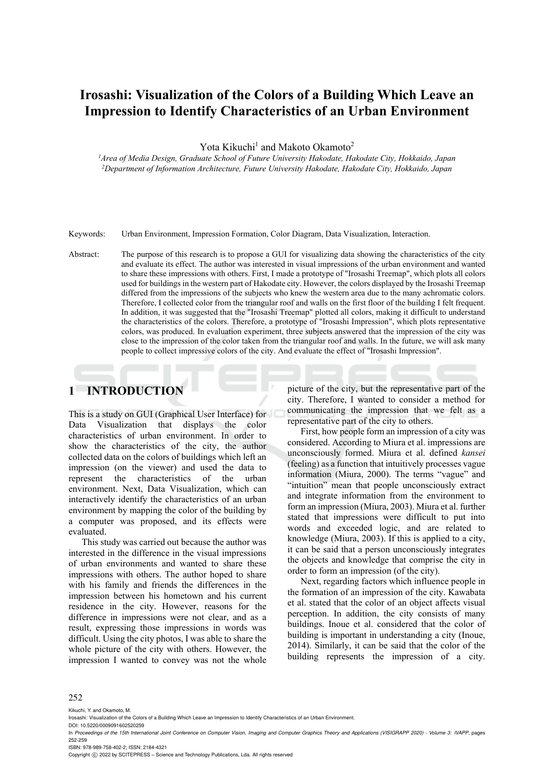# **Irosashi: Visualization of the Colors of a Building Which Leave an Impression to Identify Characteristics of an Urban Environment**

Yota Kikuchi<sup>1</sup> and Makoto Okamoto<sup>2</sup>

*1Area of Media Design, Graduate School of Future University Hakodate, Hakodate City, Hokkaido, Japan 2Department of Information Architecture, Future University Hakodate, Hakodate City, Hokkaido, Japan* 

Keywords: Urban Environment, Impression Formation, Color Diagram, Data Visualization, Interaction.

Abstract: The purpose of this research is to propose a GUI for visualizing data showing the characteristics of the city and evaluate its effect. The author was interested in visual impressions of the urban environment and wanted to share these impressions with others. First, I made a prototype of "Irosashi Treemap", which plots all colors used for buildings in the western part of Hakodate city. However, the colors displayed by the Irosashi Treemap differed from the impressions of the subjects who knew the western area due to the many achromatic colors. Therefore, I collected color from the triangular roof and walls on the first floor of the building I felt frequent. In addition, it was suggested that the "Irosashi Treemap" plotted all colors, making it difficult to understand the characteristics of the colors. Therefore, a prototype of "Irosashi Impression", which plots representative colors, was produced. In evaluation experiment, three subjects answered that the impression of the city was close to the impression of the color taken from the triangular roof and walls. In the future, we will ask many people to collect impressive colors of the city. And evaluate the effect of "Irosashi Impression".

## **1 INTRODUCTION**

This is a study on GUI (Graphical User Interface) for Data Visualization that displays the color characteristics of urban environment. In order to show the characteristics of the city, the author collected data on the colors of buildings which left an impression (on the viewer) and used the data to represent the characteristics of the urban environment. Next, Data Visualization, which can interactively identify the characteristics of an urban environment by mapping the color of the building by a computer was proposed, and its effects were evaluated.

This study was carried out because the author was interested in the difference in the visual impressions of urban environments and wanted to share these impressions with others. The author hoped to share with his family and friends the differences in the impression between his hometown and his current residence in the city. However, reasons for the difference in impressions were not clear, and as a result, expressing those impressions in words was difficult. Using the city photos, I was able to share the whole picture of the city with others. However, the impression I wanted to convey was not the whole picture of the city, but the representative part of the city. Therefore, I wanted to consider a method for communicating the impression that we felt as a representative part of the city to others.

First, how people form an impression of a city was considered. According to Miura et al. impressions are unconsciously formed. Miura et al. defined *kansei* (feeling) as a function that intuitively processes vague information (Miura, 2000). The terms "vague" and "intuition" mean that people unconsciously extract and integrate information from the environment to form an impression (Miura, 2003). Miura et al. further stated that impressions were difficult to put into words and exceeded logic, and are related to knowledge (Miura, 2003). If this is applied to a city, it can be said that a person unconsciously integrates the objects and knowledge that comprise the city in order to form an impression (of the city).

Next, regarding factors which influence people in the formation of an impression of the city. Kawabata et al. stated that the color of an object affects visual perception. In addition, the city consists of many buildings. Inoue et al. considered that the color of building is important in understanding a city (Inoue, 2014). Similarly, it can be said that the color of the building represents the impression of a city.

#### 252

Kikuchi, Y. and Okamoto, M.

DOI: 10.5220/0009091602520259

ISBN: 978-989-758-402-2; ISSN: 2184-4321

Copyright (C) 2022 by SCITEPRESS - Science and Technology Publications, Lda. All rights reserved

Irosashi: Visualization of the Colors of a Building Which Leave an Impression to Identify Characteristics of an Urban Environment.

In *Proceedings of the 15th International Joint Conference on Computer Vision, Imaging and Computer Graphics Theory and Applications (VISIGRAPP 2020) - Volume 3: IVAPP*, pages 252-259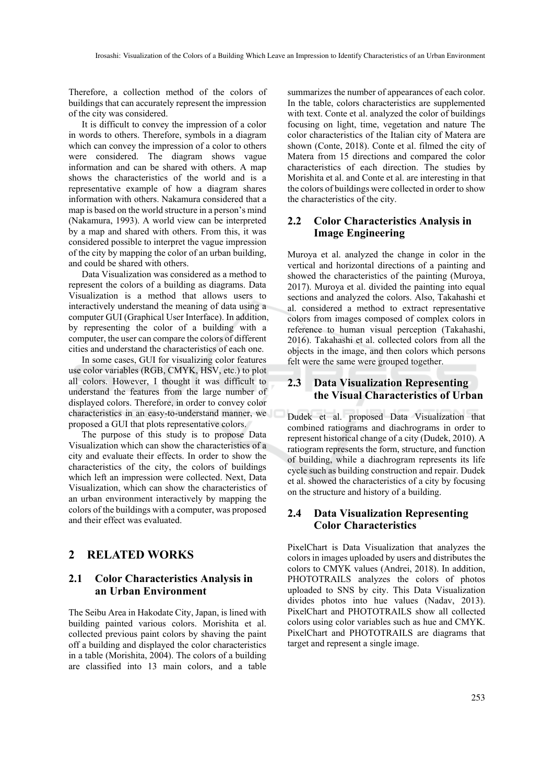Therefore, a collection method of the colors of buildings that can accurately represent the impression of the city was considered.

It is difficult to convey the impression of a color in words to others. Therefore, symbols in a diagram which can convey the impression of a color to others were considered. The diagram shows vague information and can be shared with others. A map shows the characteristics of the world and is a representative example of how a diagram shares information with others. Nakamura considered that a map is based on the world structure in a person's mind (Nakamura, 1993). A world view can be interpreted by a map and shared with others. From this, it was considered possible to interpret the vague impression of the city by mapping the color of an urban building, and could be shared with others.

Data Visualization was considered as a method to represent the colors of a building as diagrams. Data Visualization is a method that allows users to interactively understand the meaning of data using a computer GUI (Graphical User Interface). In addition, by representing the color of a building with a computer, the user can compare the colors of different cities and understand the characteristics of each one.

In some cases, GUI for visualizing color features use color variables (RGB, CMYK, HSV, etc.) to plot all colors. However, I thought it was difficult to understand the features from the large number of displayed colors. Therefore, in order to convey color characteristics in an easy-to-understand manner, we proposed a GUI that plots representative colors.

The purpose of this study is to propose Data Visualization which can show the characteristics of a city and evaluate their effects. In order to show the characteristics of the city, the colors of buildings which left an impression were collected. Next, Data Visualization, which can show the characteristics of an urban environment interactively by mapping the colors of the buildings with a computer, was proposed and their effect was evaluated.

## **2 RELATED WORKS**

## **2.1 Color Characteristics Analysis in an Urban Environment**

The Seibu Area in Hakodate City, Japan, is lined with building painted various colors. Morishita et al. collected previous paint colors by shaving the paint off a building and displayed the color characteristics in a table (Morishita, 2004). The colors of a building are classified into 13 main colors, and a table

summarizes the number of appearances of each color. In the table, colors characteristics are supplemented with text. Conte et al. analyzed the color of buildings focusing on light, time, vegetation and nature The color characteristics of the Italian city of Matera are shown (Conte, 2018). Conte et al. filmed the city of Matera from 15 directions and compared the color characteristics of each direction. The studies by Morishita et al. and Conte et al. are interesting in that the colors of buildings were collected in order to show the characteristics of the city.

## **2.2 Color Characteristics Analysis in Image Engineering**

Muroya et al. analyzed the change in color in the vertical and horizontal directions of a painting and showed the characteristics of the painting (Muroya, 2017). Muroya et al. divided the painting into equal sections and analyzed the colors. Also, Takahashi et al. considered a method to extract representative colors from images composed of complex colors in reference to human visual perception (Takahashi, 2016). Takahashi et al. collected colors from all the objects in the image, and then colors which persons felt were the same were grouped together.

## **2.3 Data Visualization Representing the Visual Characteristics of Urban**

Dudek et al. proposed Data Visualization that combined ratiograms and diachrograms in order to represent historical change of a city (Dudek, 2010). A ratiogram represents the form, structure, and function of building, while a diachrogram represents its life cycle such as building construction and repair. Dudek et al. showed the characteristics of a city by focusing on the structure and history of a building.

### **2.4 Data Visualization Representing Color Characteristics**

PixelChart is Data Visualization that analyzes the colors in images uploaded by users and distributes the colors to CMYK values (Andrei, 2018). In addition, PHOTOTRAILS analyzes the colors of photos uploaded to SNS by city. This Data Visualization divides photos into hue values (Nadav, 2013). PixelChart and PHOTOTRAILS show all collected colors using color variables such as hue and CMYK. PixelChart and PHOTOTRAILS are diagrams that target and represent a single image.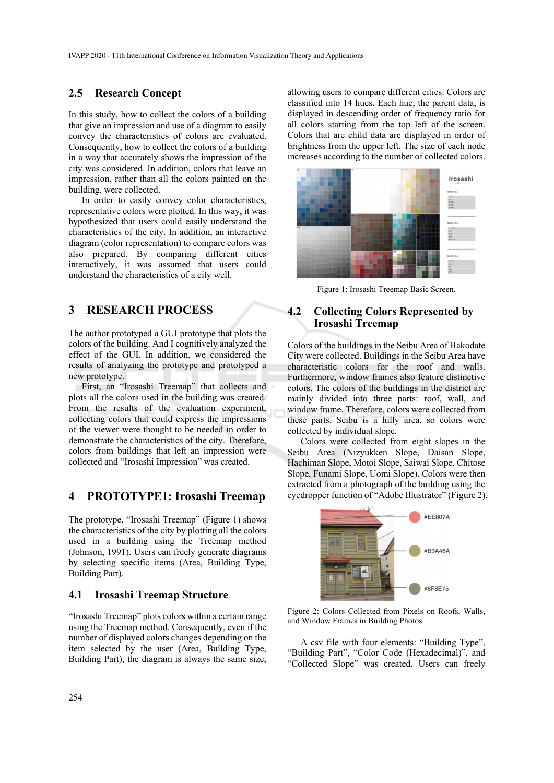### **2.5 Research Concept**

In this study, how to collect the colors of a building that give an impression and use of a diagram to easily convey the characteristics of colors are evaluated. Consequently, how to collect the colors of a building in a way that accurately shows the impression of the city was considered. In addition, colors that leave an impression, rather than all the colors painted on the building, were collected.

In order to easily convey color characteristics, representative colors were plotted. In this way, it was hypothesized that users could easily understand the characteristics of the city. In addition, an interactive diagram (color representation) to compare colors was also prepared. By comparing different cities interactively, it was assumed that users could understand the characteristics of a city well.

## **3 RESEARCH PROCESS**

The author prototyped a GUI prototype that plots the colors of the building. And I cognitively analyzed the effect of the GUI. In addition, we considered the results of analyzing the prototype and prototyped a new prototype.

First, an "Irosashi Treemap" that collects and plots all the colors used in the building was created. From the results of the evaluation experiment, collecting colors that could express the impressions of the viewer were thought to be needed in order to demonstrate the characteristics of the city. Therefore, colors from buildings that left an impression were collected and "Irosashi Impression" was created.

## **4 PROTOTYPE1: Irosashi Treemap**

The prototype, "Irosashi Treemap" (Figure 1) shows the characteristics of the city by plotting all the colors used in a building using the Treemap method (Johnson, 1991). Users can freely generate diagrams by selecting specific items (Area, Building Type, Building Part).

#### **4.1 Irosashi Treemap Structure**

"Irosashi Treemap" plots colors within a certain range using the Treemap method. Consequently, even if the number of displayed colors changes depending on the item selected by the user (Area, Building Type, Building Part), the diagram is always the same size,

allowing users to compare different cities. Colors are classified into 14 hues. Each hue, the parent data, is displayed in descending order of frequency ratio for all colors starting from the top left of the screen. Colors that are child data are displayed in order of brightness from the upper left. The size of each node increases according to the number of collected colors.



Figure 1: Irosashi Treemap Basic Screen.

### **4.2 Collecting Colors Represented by Irosashi Treemap**

Colors of the buildings in the Seibu Area of Hakodate City were collected. Buildings in the Seibu Area have characteristic colors for the roof and walls. Furthermore, window frames also feature distinctive colors. The colors of the buildings in the district are mainly divided into three parts: roof, wall, and window frame. Therefore, colors were collected from these parts. Seibu is a hilly area, so colors were collected by individual slope.

Colors were collected from eight slopes in the Seibu Area (Nizyukken Slope, Daisan Slope, Hachiman Slope, Motoi Slope, Saiwai Slope, Chitose Slope, Funami Slope, Uomi Slope). Colors were then extracted from a photograph of the building using the eyedropper function of "Adobe Illustrator" (Figure 2).



Figure 2: Colors Collected from Pixels on Roofs, Walls, and Window Frames in Building Photos.

A csv file with four elements: "Building Type", "Building Part", "Color Code (Hexadecimal)", and "Collected Slope" was created. Users can freely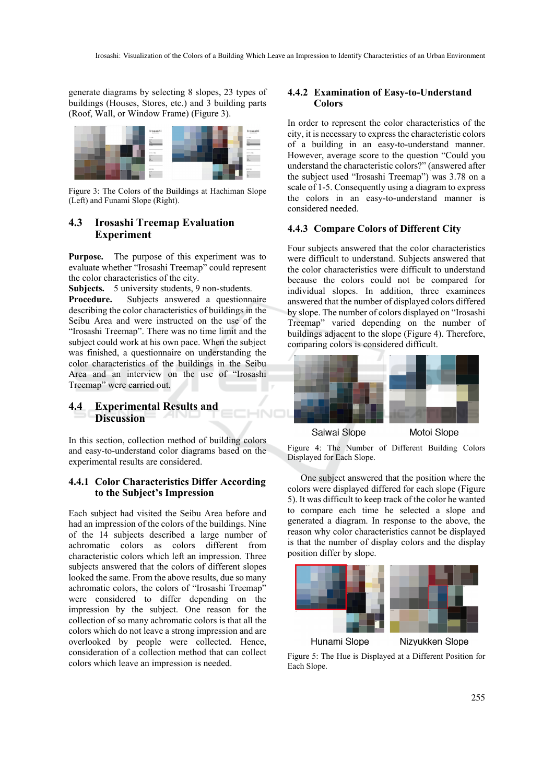generate diagrams by selecting 8 slopes, 23 types of buildings (Houses, Stores, etc.) and 3 building parts (Roof, Wall, or Window Frame) (Figure 3).



Figure 3: The Colors of the Buildings at Hachiman Slope (Left) and Funami Slope (Right).

### **4.3 Irosashi Treemap Evaluation Experiment**

**Purpose.** The purpose of this experiment was to evaluate whether "Irosashi Treemap" could represent the color characteristics of the city.

**Subjects.** 5 university students, 9 non-students.

**Procedure.** Subjects answered a questionnaire describing the color characteristics of buildings in the Seibu Area and were instructed on the use of the "Irosashi Treemap". There was no time limit and the subject could work at his own pace. When the subject was finished, a questionnaire on understanding the color characteristics of the buildings in the Seibu Area and an interview on the use of "Irosashi Treemap" were carried out.

## **4.4 Experimental Results and Discussion**

In this section, collection method of building colors and easy-to-understand color diagrams based on the experimental results are considered.

#### **4.4.1 Color Characteristics Differ According to the Subject's Impression**

Each subject had visited the Seibu Area before and had an impression of the colors of the buildings. Nine of the 14 subjects described a large number of achromatic colors as colors different from characteristic colors which left an impression. Three subjects answered that the colors of different slopes looked the same. From the above results, due so many achromatic colors, the colors of "Irosashi Treemap" were considered to differ depending on the impression by the subject. One reason for the collection of so many achromatic colors is that all the colors which do not leave a strong impression and are overlooked by people were collected. Hence, consideration of a collection method that can collect colors which leave an impression is needed.

#### **4.4.2 Examination of Easy-to-Understand Colors**

In order to represent the color characteristics of the city, it is necessary to express the characteristic colors of a building in an easy-to-understand manner. However, average score to the question "Could you understand the characteristic colors?" (answered after the subject used "Irosashi Treemap") was 3.78 on a scale of 1-5. Consequently using a diagram to express the colors in an easy-to-understand manner is considered needed.

#### **4.4.3 Compare Colors of Different City**

Four subjects answered that the color characteristics were difficult to understand. Subjects answered that the color characteristics were difficult to understand because the colors could not be compared for individual slopes. In addition, three examinees answered that the number of displayed colors differed by slope. The number of colors displayed on "Irosashi Treemap" varied depending on the number of buildings adjacent to the slope (Figure 4). Therefore, comparing colors is considered difficult.



Saiwai Slope

Motoi Slope

Figure 4: The Number of Different Building Colors Displayed for Each Slope.

One subject answered that the position where the colors were displayed differed for each slope (Figure 5). It was difficult to keep track of the color he wanted to compare each time he selected a slope and generated a diagram. In response to the above, the reason why color characteristics cannot be displayed is that the number of display colors and the display position differ by slope.



Figure 5: The Hue is Displayed at a Different Position for Each Slope.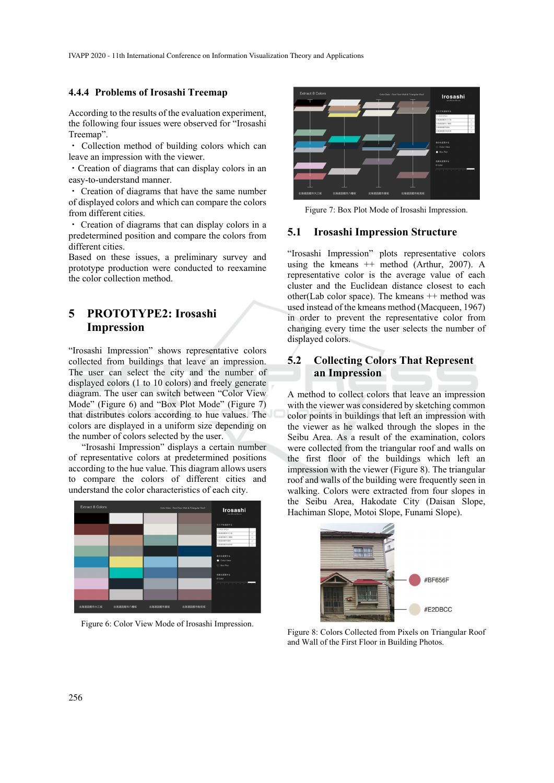IVAPP 2020 - 11th International Conference on Information Visualization Theory and Applications

#### **4.4.4 Problems of Irosashi Treemap**

According to the results of the evaluation experiment, the following four issues were observed for "Irosashi Treemap".

・ Collection method of building colors which can leave an impression with the viewer.

・Creation of diagrams that can display colors in an easy-to-understand manner.

・ Creation of diagrams that have the same number of displayed colors and which can compare the colors from different cities.

・ Creation of diagrams that can display colors in a predetermined position and compare the colors from different cities.

Based on these issues, a preliminary survey and prototype production were conducted to reexamine the color collection method.

## **5 PROTOTYPE2: Irosashi Impression**

"Irosashi Impression" shows representative colors collected from buildings that leave an impression. The user can select the city and the number of displayed colors (1 to 10 colors) and freely generate diagram. The user can switch between "Color View Mode" (Figure 6) and "Box Plot Mode" (Figure 7) that distributes colors according to hue values. The colors are displayed in a uniform size depending on the number of colors selected by the user.

"Irosashi Impression" displays a certain number of representative colors at predetermined positions according to the hue value. This diagram allows users to compare the colors of different cities and understand the color characteristics of each city.



Figure 6: Color View Mode of Irosashi Impression.



Figure 7: Box Plot Mode of Irosashi Impression.

#### **5.1 Irosashi Impression Structure**

"Irosashi Impression" plots representative colors using the kmeans ++ method (Arthur, 2007). A representative color is the average value of each cluster and the Euclidean distance closest to each other(Lab color space). The kmeans ++ method was used instead of the kmeans method (Macqueen, 1967) in order to prevent the representative color from changing every time the user selects the number of displayed colors.

## **5.2 Collecting Colors That Represent an Impression**

A method to collect colors that leave an impression with the viewer was considered by sketching common color points in buildings that left an impression with the viewer as he walked through the slopes in the Seibu Area. As a result of the examination, colors were collected from the triangular roof and walls on the first floor of the buildings which left an impression with the viewer (Figure 8). The triangular roof and walls of the building were frequently seen in walking. Colors were extracted from four slopes in the Seibu Area, Hakodate City (Daisan Slope, Hachiman Slope, Motoi Slope, Funami Slope).



Figure 8: Colors Collected from Pixels on Triangular Roof and Wall of the First Floor in Building Photos.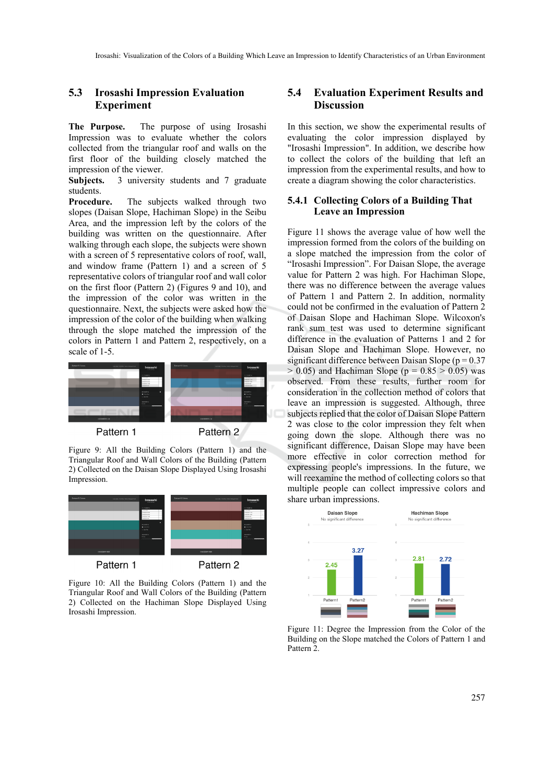## **5.3 Irosashi Impression Evaluation Experiment**

**The Purpose.** The purpose of using Irosashi Impression was to evaluate whether the colors collected from the triangular roof and walls on the first floor of the building closely matched the impression of the viewer.

**Subjects.** 3 university students and 7 graduate students.

**Procedure.** The subjects walked through two slopes (Daisan Slope, Hachiman Slope) in the Seibu Area, and the impression left by the colors of the building was written on the questionnaire. After walking through each slope, the subjects were shown with a screen of 5 representative colors of roof, wall, and window frame (Pattern 1) and a screen of 5 representative colors of triangular roof and wall color on the first floor (Pattern 2) (Figures 9 and 10), and the impression of the color was written in the questionnaire. Next, the subjects were asked how the impression of the color of the building when walking through the slope matched the impression of the colors in Pattern 1 and Pattern 2, respectively, on a scale of 1-5.



Pattern 1

Pattern 2

Figure 9: All the Building Colors (Pattern 1) and the Triangular Roof and Wall Colors of the Building (Pattern 2) Collected on the Daisan Slope Displayed Using Irosashi Impression.



Figure 10: All the Building Colors (Pattern 1) and the Triangular Roof and Wall Colors of the Building (Pattern 2) Collected on the Hachiman Slope Displayed Using Irosashi Impression.

## **5.4 Evaluation Experiment Results and Discussion**

In this section, we show the experimental results of evaluating the color impression displayed by "Irosashi Impression". In addition, we describe how to collect the colors of the building that left an impression from the experimental results, and how to create a diagram showing the color characteristics.

#### **5.4.1 Collecting Colors of a Building That Leave an Impression**

Figure 11 shows the average value of how well the impression formed from the colors of the building on a slope matched the impression from the color of "Irosashi Impression". For Daisan Slope, the average value for Pattern 2 was high. For Hachiman Slope, there was no difference between the average values of Pattern 1 and Pattern 2. In addition, normality could not be confirmed in the evaluation of Pattern 2 of Daisan Slope and Hachiman Slope. Wilcoxon's rank sum test was used to determine significant difference in the evaluation of Patterns 1 and 2 for Daisan Slope and Hachiman Slope. However, no significant difference between Daisan Slope ( $p = 0.37$ )  $> 0.05$ ) and Hachiman Slope ( $p = 0.85 > 0.05$ ) was observed. From these results, further room for consideration in the collection method of colors that leave an impression is suggested. Although, three subjects replied that the color of Daisan Slope Pattern 2 was close to the color impression they felt when going down the slope. Although there was no significant difference, Daisan Slope may have been more effective in color correction method for expressing people's impressions. In the future, we will reexamine the method of collecting colors so that multiple people can collect impressive colors and share urban impressions.



Figure 11: Degree the Impression from the Color of the Building on the Slope matched the Colors of Pattern 1 and Pattern<sub>2</sub>.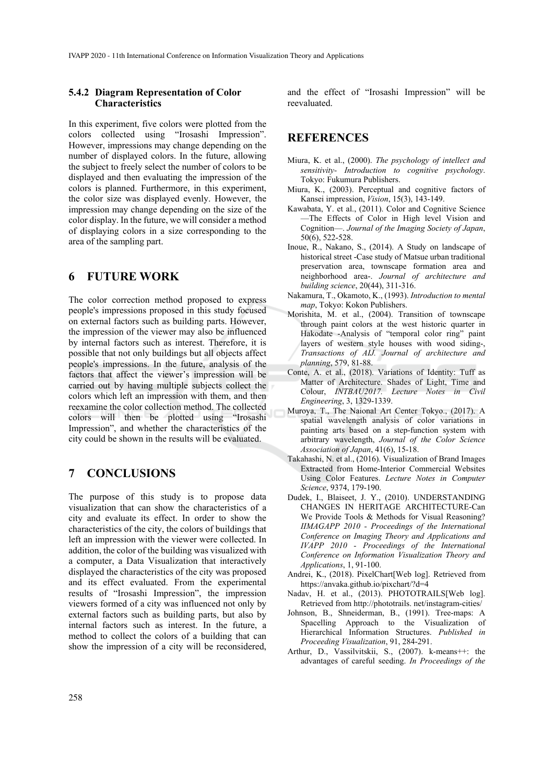#### **5.4.2 Diagram Representation of Color Characteristics**

In this experiment, five colors were plotted from the colors collected using "Irosashi Impression". However, impressions may change depending on the number of displayed colors. In the future, allowing the subject to freely select the number of colors to be displayed and then evaluating the impression of the colors is planned. Furthermore, in this experiment, the color size was displayed evenly. However, the impression may change depending on the size of the color display. In the future, we will consider a method of displaying colors in a size corresponding to the area of the sampling part.

## **6 FUTURE WORK**

The color correction method proposed to express people's impressions proposed in this study focused on external factors such as building parts. However, the impression of the viewer may also be influenced by internal factors such as interest. Therefore, it is possible that not only buildings but all objects affect people's impressions. In the future, analysis of the factors that affect the viewer's impression will be carried out by having multiple subjects collect the colors which left an impression with them, and then reexamine the color collection method. The collected colors will then be plotted using "Irosashi Impression", and whether the characteristics of the city could be shown in the results will be evaluated.

## **7 CONCLUSIONS**

The purpose of this study is to propose data visualization that can show the characteristics of a city and evaluate its effect. In order to show the characteristics of the city, the colors of buildings that left an impression with the viewer were collected. In addition, the color of the building was visualized with a computer, a Data Visualization that interactively displayed the characteristics of the city was proposed and its effect evaluated. From the experimental results of "Irosashi Impression", the impression viewers formed of a city was influenced not only by external factors such as building parts, but also by internal factors such as interest. In the future, a method to collect the colors of a building that can show the impression of a city will be reconsidered,

and the effect of "Irosashi Impression" will be reevaluated.

## **REFERENCES**

- Miura, K. et al., (2000). *The psychology of intellect and sensitivity- Introduction to cognitive psychology*. Tokyo: Fukumura Publishers.
- Miura, K., (2003). Perceptual and cognitive factors of Kansei impression, *Vision*, 15(3), 143-149.
- Kawabata, Y. et al., (2011). Color and Cognitive Science —The Effects of Color in High level Vision and Cognition—. *Journal of the Imaging Society of Japan*, 50(6), 522-528.
- Inoue, R., Nakano, S., (2014). A Study on landscape of historical street -Case study of Matsue urban traditional preservation area, townscape formation area and neighborhood area-. *Journal of architecture and building science*, 20(44), 311-316.
- Nakamura, T., Okamoto, K., (1993). *Introduction to mental map*, Tokyo: Kokon Publishers.
- Morishita, M. et al., (2004). Transition of townscape through paint colors at the west historic quarter in Hakodate -Analysis of "temporal color ring" paint layers of western style houses with wood siding-, *Transactions of AIJ. Journal of architecture and planning*, 579, 81-88.
- Conte, A. et al., (2018). Variations of Identity: Tuff as Matter of Architecture. Shades of Light, Time and Colour, *INTBAU2017. Lecture Notes in Civil Engineering*, 3, 1329-1339.
- Muroya, T., The Naional Art Center Tokyo., (2017). A spatial wavelength analysis of color variations in painting arts based on a step-function system with arbitrary wavelength, *Journal of the Color Science Association of Japan*, 41(6), 15-18.
- Takahashi, N. et al., (2016). Visualization of Brand Images Extracted from Home-Interior Commercial Websites Using Color Features. *Lecture Notes in Computer Science*, 9374, 179-190.
- Dudek, I., Blaiseet, J. Y., (2010). UNDERSTANDING CHANGES IN HERITAGE ARCHITECTURE-Can We Provide Tools & Methods for Visual Reasoning? *IIMAGAPP 2010 - Proceedings of the International Conference on Imaging Theory and Applications and IVAPP 2010 - Proceedings of the International Conference on Information Visualization Theory and Applications*, 1, 91-100.
- Andrei, K., (2018). PixelChart[Web log]. Retrieved from https://anvaka.github.io/pixchart/?d=4
- Nadav, H. et al., (2013). PHOTOTRAILS[Web log]. Retrieved from http://phototrails. net/instagram-cities/
- Johnson, B., Shneiderman, B., (1991). Tree-maps: A Spacelling Approach to the Visualization of Hierarchical Information Structures. *Published in Proceeding Visualization*, 91, 284-291.
- Arthur, D., Vassilvitskii, S., (2007). k-means++: the advantages of careful seeding. *In Proceedings of the*